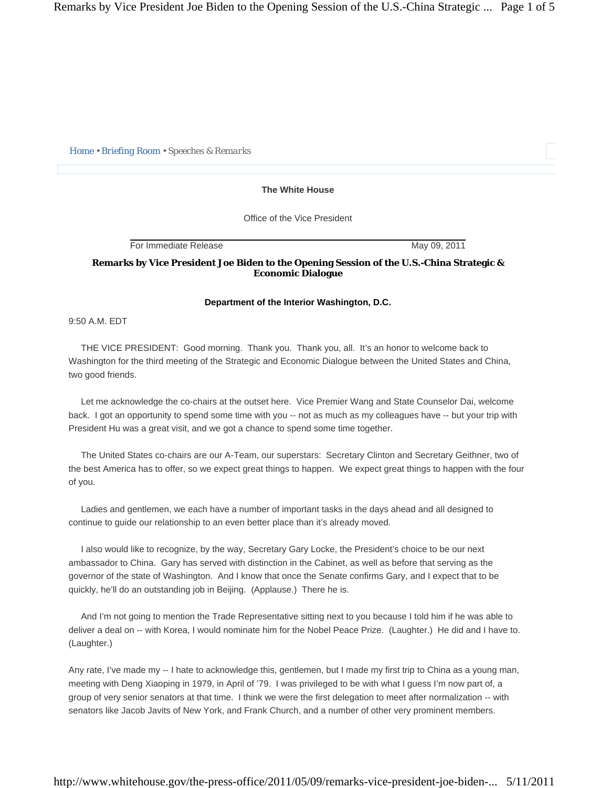*Home • Briefing Room • Speeches & Remarks* 

**The White House** 

Office of the Vice President

For Immediate Release May 09, 2011

## **Remarks by Vice President Joe Biden to the Opening Session of the U.S.-China Strategic & Economic Dialogue**

## **Department of the Interior Washington, D.C.**

9:50 A.M. EDT

 THE VICE PRESIDENT: Good morning. Thank you. Thank you, all. It's an honor to welcome back to Washington for the third meeting of the Strategic and Economic Dialogue between the United States and China, two good friends.

 Let me acknowledge the co-chairs at the outset here. Vice Premier Wang and State Counselor Dai, welcome back. I got an opportunity to spend some time with you -- not as much as my colleagues have -- but your trip with President Hu was a great visit, and we got a chance to spend some time together.

 The United States co-chairs are our A-Team, our superstars: Secretary Clinton and Secretary Geithner, two of the best America has to offer, so we expect great things to happen. We expect great things to happen with the four of you.

 Ladies and gentlemen, we each have a number of important tasks in the days ahead and all designed to continue to guide our relationship to an even better place than it's already moved.

 I also would like to recognize, by the way, Secretary Gary Locke, the President's choice to be our next ambassador to China. Gary has served with distinction in the Cabinet, as well as before that serving as the governor of the state of Washington. And I know that once the Senate confirms Gary, and I expect that to be quickly, he'll do an outstanding job in Beijing. (Applause.) There he is.

 And I'm not going to mention the Trade Representative sitting next to you because I told him if he was able to deliver a deal on -- with Korea, I would nominate him for the Nobel Peace Prize. (Laughter.) He did and I have to. (Laughter.)

Any rate, I've made my -- I hate to acknowledge this, gentlemen, but I made my first trip to China as a young man, meeting with Deng Xiaoping in 1979, in April of '79. I was privileged to be with what I guess I'm now part of, a group of very senior senators at that time. I think we were the first delegation to meet after normalization -- with senators like Jacob Javits of New York, and Frank Church, and a number of other very prominent members.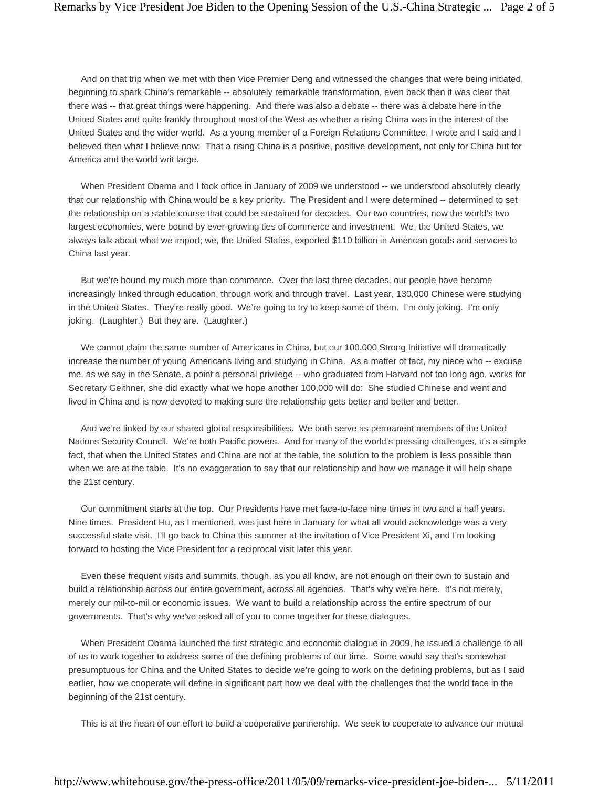And on that trip when we met with then Vice Premier Deng and witnessed the changes that were being initiated, beginning to spark China's remarkable -- absolutely remarkable transformation, even back then it was clear that there was -- that great things were happening. And there was also a debate -- there was a debate here in the United States and quite frankly throughout most of the West as whether a rising China was in the interest of the United States and the wider world. As a young member of a Foreign Relations Committee, I wrote and I said and I believed then what I believe now: That a rising China is a positive, positive development, not only for China but for America and the world writ large.

 When President Obama and I took office in January of 2009 we understood -- we understood absolutely clearly that our relationship with China would be a key priority. The President and I were determined -- determined to set the relationship on a stable course that could be sustained for decades. Our two countries, now the world's two largest economies, were bound by ever-growing ties of commerce and investment. We, the United States, we always talk about what we import; we, the United States, exported \$110 billion in American goods and services to China last year.

 But we're bound my much more than commerce. Over the last three decades, our people have become increasingly linked through education, through work and through travel. Last year, 130,000 Chinese were studying in the United States. They're really good. We're going to try to keep some of them. I'm only joking. I'm only joking. (Laughter.) But they are. (Laughter.)

We cannot claim the same number of Americans in China, but our 100,000 Strong Initiative will dramatically increase the number of young Americans living and studying in China. As a matter of fact, my niece who -- excuse me, as we say in the Senate, a point a personal privilege -- who graduated from Harvard not too long ago, works for Secretary Geithner, she did exactly what we hope another 100,000 will do: She studied Chinese and went and lived in China and is now devoted to making sure the relationship gets better and better and better.

 And we're linked by our shared global responsibilities. We both serve as permanent members of the United Nations Security Council. We're both Pacific powers. And for many of the world's pressing challenges, it's a simple fact, that when the United States and China are not at the table, the solution to the problem is less possible than when we are at the table. It's no exaggeration to say that our relationship and how we manage it will help shape the 21st century.

 Our commitment starts at the top. Our Presidents have met face-to-face nine times in two and a half years. Nine times. President Hu, as I mentioned, was just here in January for what all would acknowledge was a very successful state visit. I'll go back to China this summer at the invitation of Vice President Xi, and I'm looking forward to hosting the Vice President for a reciprocal visit later this year.

 Even these frequent visits and summits, though, as you all know, are not enough on their own to sustain and build a relationship across our entire government, across all agencies. That's why we're here. It's not merely, merely our mil-to-mil or economic issues. We want to build a relationship across the entire spectrum of our governments. That's why we've asked all of you to come together for these dialogues.

 When President Obama launched the first strategic and economic dialogue in 2009, he issued a challenge to all of us to work together to address some of the defining problems of our time. Some would say that's somewhat presumptuous for China and the United States to decide we're going to work on the defining problems, but as I said earlier, how we cooperate will define in significant part how we deal with the challenges that the world face in the beginning of the 21st century.

This is at the heart of our effort to build a cooperative partnership. We seek to cooperate to advance our mutual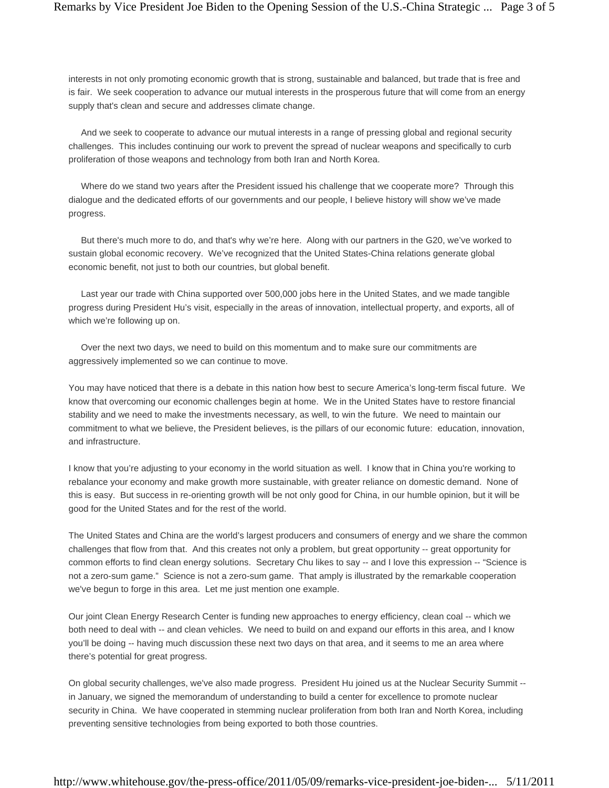interests in not only promoting economic growth that is strong, sustainable and balanced, but trade that is free and is fair. We seek cooperation to advance our mutual interests in the prosperous future that will come from an energy supply that's clean and secure and addresses climate change.

 And we seek to cooperate to advance our mutual interests in a range of pressing global and regional security challenges. This includes continuing our work to prevent the spread of nuclear weapons and specifically to curb proliferation of those weapons and technology from both Iran and North Korea.

 Where do we stand two years after the President issued his challenge that we cooperate more? Through this dialogue and the dedicated efforts of our governments and our people, I believe history will show we've made progress.

 But there's much more to do, and that's why we're here. Along with our partners in the G20, we've worked to sustain global economic recovery. We've recognized that the United States-China relations generate global economic benefit, not just to both our countries, but global benefit.

 Last year our trade with China supported over 500,000 jobs here in the United States, and we made tangible progress during President Hu's visit, especially in the areas of innovation, intellectual property, and exports, all of which we're following up on.

 Over the next two days, we need to build on this momentum and to make sure our commitments are aggressively implemented so we can continue to move.

You may have noticed that there is a debate in this nation how best to secure America's long-term fiscal future. We know that overcoming our economic challenges begin at home. We in the United States have to restore financial stability and we need to make the investments necessary, as well, to win the future. We need to maintain our commitment to what we believe, the President believes, is the pillars of our economic future: education, innovation, and infrastructure.

I know that you're adjusting to your economy in the world situation as well. I know that in China you're working to rebalance your economy and make growth more sustainable, with greater reliance on domestic demand. None of this is easy. But success in re-orienting growth will be not only good for China, in our humble opinion, but it will be good for the United States and for the rest of the world.

The United States and China are the world's largest producers and consumers of energy and we share the common challenges that flow from that. And this creates not only a problem, but great opportunity -- great opportunity for common efforts to find clean energy solutions. Secretary Chu likes to say -- and I love this expression -- "Science is not a zero-sum game." Science is not a zero-sum game. That amply is illustrated by the remarkable cooperation we've begun to forge in this area. Let me just mention one example.

Our joint Clean Energy Research Center is funding new approaches to energy efficiency, clean coal -- which we both need to deal with -- and clean vehicles. We need to build on and expand our efforts in this area, and I know you'll be doing -- having much discussion these next two days on that area, and it seems to me an area where there's potential for great progress.

On global security challenges, we've also made progress. President Hu joined us at the Nuclear Security Summit - in January, we signed the memorandum of understanding to build a center for excellence to promote nuclear security in China. We have cooperated in stemming nuclear proliferation from both Iran and North Korea, including preventing sensitive technologies from being exported to both those countries.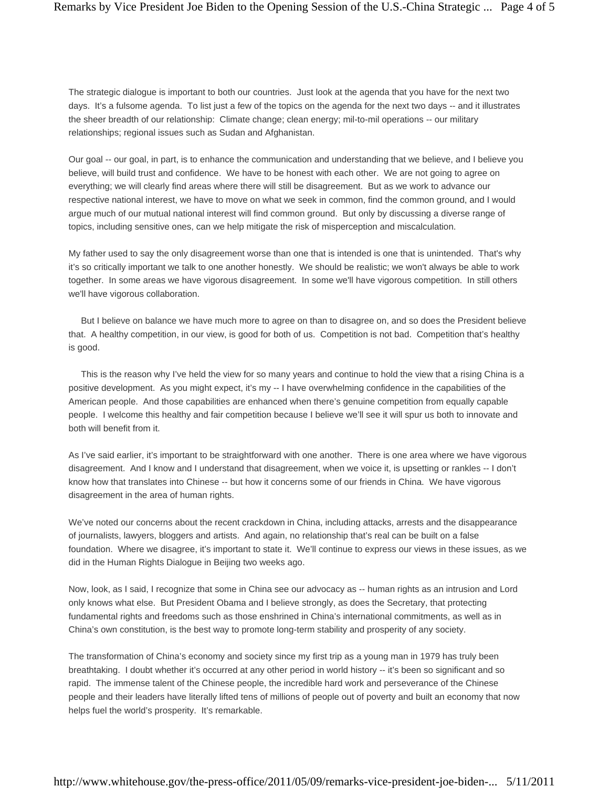The strategic dialogue is important to both our countries. Just look at the agenda that you have for the next two days. It's a fulsome agenda. To list just a few of the topics on the agenda for the next two days -- and it illustrates the sheer breadth of our relationship: Climate change; clean energy; mil-to-mil operations -- our military relationships; regional issues such as Sudan and Afghanistan.

Our goal -- our goal, in part, is to enhance the communication and understanding that we believe, and I believe you believe, will build trust and confidence. We have to be honest with each other. We are not going to agree on everything; we will clearly find areas where there will still be disagreement. But as we work to advance our respective national interest, we have to move on what we seek in common, find the common ground, and I would argue much of our mutual national interest will find common ground. But only by discussing a diverse range of topics, including sensitive ones, can we help mitigate the risk of misperception and miscalculation.

My father used to say the only disagreement worse than one that is intended is one that is unintended. That's why it's so critically important we talk to one another honestly. We should be realistic; we won't always be able to work together. In some areas we have vigorous disagreement. In some we'll have vigorous competition. In still others we'll have vigorous collaboration.

 But I believe on balance we have much more to agree on than to disagree on, and so does the President believe that. A healthy competition, in our view, is good for both of us. Competition is not bad. Competition that's healthy is good.

 This is the reason why I've held the view for so many years and continue to hold the view that a rising China is a positive development. As you might expect, it's my -- I have overwhelming confidence in the capabilities of the American people. And those capabilities are enhanced when there's genuine competition from equally capable people. I welcome this healthy and fair competition because I believe we'll see it will spur us both to innovate and both will benefit from it.

As I've said earlier, it's important to be straightforward with one another. There is one area where we have vigorous disagreement. And I know and I understand that disagreement, when we voice it, is upsetting or rankles -- I don't know how that translates into Chinese -- but how it concerns some of our friends in China. We have vigorous disagreement in the area of human rights.

We've noted our concerns about the recent crackdown in China, including attacks, arrests and the disappearance of journalists, lawyers, bloggers and artists. And again, no relationship that's real can be built on a false foundation. Where we disagree, it's important to state it. We'll continue to express our views in these issues, as we did in the Human Rights Dialogue in Beijing two weeks ago.

Now, look, as I said, I recognize that some in China see our advocacy as -- human rights as an intrusion and Lord only knows what else. But President Obama and I believe strongly, as does the Secretary, that protecting fundamental rights and freedoms such as those enshrined in China's international commitments, as well as in China's own constitution, is the best way to promote long-term stability and prosperity of any society.

The transformation of China's economy and society since my first trip as a young man in 1979 has truly been breathtaking. I doubt whether it's occurred at any other period in world history -- it's been so significant and so rapid. The immense talent of the Chinese people, the incredible hard work and perseverance of the Chinese people and their leaders have literally lifted tens of millions of people out of poverty and built an economy that now helps fuel the world's prosperity. It's remarkable.